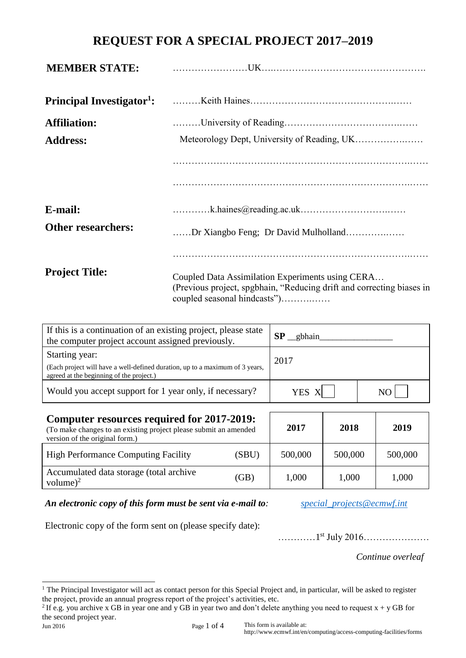## **REQUEST FOR A SPECIAL PROJECT 2017–2019**

| <b>MEMBER STATE:</b>                       |                                                                                                                                                           |  |  |  |
|--------------------------------------------|-----------------------------------------------------------------------------------------------------------------------------------------------------------|--|--|--|
| <b>Principal Investigator<sup>1</sup>:</b> |                                                                                                                                                           |  |  |  |
| <b>Affiliation:</b>                        |                                                                                                                                                           |  |  |  |
| <b>Address:</b>                            |                                                                                                                                                           |  |  |  |
|                                            |                                                                                                                                                           |  |  |  |
|                                            |                                                                                                                                                           |  |  |  |
| E-mail:                                    |                                                                                                                                                           |  |  |  |
| <b>Other researchers:</b>                  | Dr Xiangbo Feng; Dr David Mulholland                                                                                                                      |  |  |  |
|                                            |                                                                                                                                                           |  |  |  |
| <b>Project Title:</b>                      | Coupled Data Assimilation Experiments using CERA<br>(Previous project, spgbhain, "Reducing drift and correcting biases in<br>coupled seasonal hindcasts") |  |  |  |

| If this is a continuation of an existing project, please state<br>the computer project account assigned previously.                        | SP<br>gbhain |     |  |
|--------------------------------------------------------------------------------------------------------------------------------------------|--------------|-----|--|
| Starting year:<br>(Each project will have a well-defined duration, up to a maximum of 3 years,<br>agreed at the beginning of the project.) | 2017         |     |  |
| Would you accept support for 1 year only, if necessary?                                                                                    | YES X        | NO. |  |

| Computer resources required for 2017-2019:<br>(To make changes to an existing project please submit an amended<br>version of the original form.) | 2017  | 2018    | 2019    |         |
|--------------------------------------------------------------------------------------------------------------------------------------------------|-------|---------|---------|---------|
| <b>High Performance Computing Facility</b>                                                                                                       | (SBU) | 500,000 | 500,000 | 500,000 |
| Accumulated data storage (total archive<br>volume) $^{2}$                                                                                        | (GB)  | 1,000   | 1,000   | 1,000   |

## *An electronic copy of this form must be sent via e-mail to: [special\\_projects@ecmwf.int](mailto:special_projects@ecmwf.int)*

Electronic copy of the form sent on (please specify date):

...............<sup>1st</sup> July 2016......................

*Continue overleaf*

l  $<sup>1</sup>$  The Principal Investigator will act as contact person for this Special Project and, in particular, will be asked to register</sup> the project, provide an annual progress report of the project's activities, etc.

<sup>&</sup>lt;sup>2</sup> If e.g. you archive x GB in year one and y GB in year two and don't delete anything you need to request  $x + y$  GB for the second project year.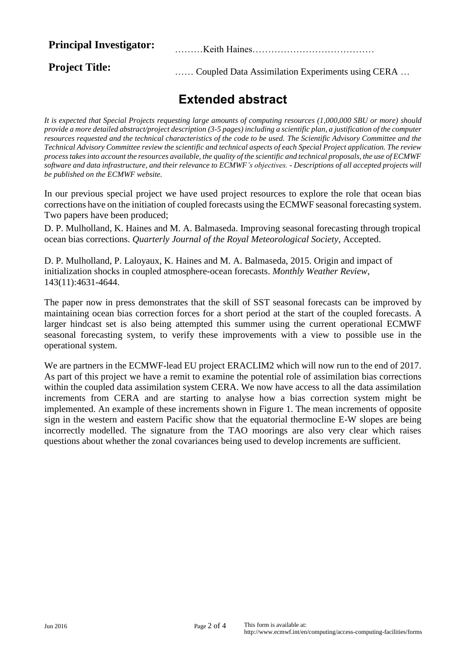**Principal Investigator:** ………Keith Haines…………………………………

**Project Title:** <br> …… Coupled Data Assimilation Experiments using CERA …

## **Extended abstract**

*It is expected that Special Projects requesting large amounts of computing resources (1,000,000 SBU or more) should provide a more detailed abstract/project description (3-5 pages) including a scientific plan, a justification of the computer resources requested and the technical characteristics of the code to be used. The Scientific Advisory Committee and the Technical Advisory Committee review the scientific and technical aspects of each Special Project application. The review process takes into account the resources available, the quality of the scientific and technical proposals, the use of ECMWF software and data infrastructure, and their relevance to ECMWF's objectives. - Descriptions of all accepted projects will be published on the ECMWF website.*

In our previous special project we have used project resources to explore the role that ocean bias corrections have on the initiation of coupled forecasts using the ECMWF seasonal forecasting system. Two papers have been produced;

D. P. Mulholland, K. Haines and M. A. Balmaseda. Improving seasonal forecasting through tropical ocean bias corrections. *Quarterly Journal of the Royal Meteorological Society*, Accepted.

D. P. Mulholland, P. Laloyaux, K. Haines and M. A. Balmaseda, 2015. Origin and impact of initialization shocks in coupled atmosphere-ocean forecasts. *Monthly Weather Review*, 143(11):4631-4644.

The paper now in press demonstrates that the skill of SST seasonal forecasts can be improved by maintaining ocean bias correction forces for a short period at the start of the coupled forecasts. A larger hindcast set is also being attempted this summer using the current operational ECMWF seasonal forecasting system, to verify these improvements with a view to possible use in the operational system.

We are partners in the ECMWF-lead EU project ERACLIM2 which will now run to the end of 2017. As part of this project we have a remit to examine the potential role of assimilation bias corrections within the coupled data assimilation system CERA. We now have access to all the data assimilation increments from CERA and are starting to analyse how a bias correction system might be implemented. An example of these increments shown in Figure 1. The mean increments of opposite sign in the western and eastern Pacific show that the equatorial thermocline E-W slopes are being incorrectly modelled. The signature from the TAO moorings are also very clear which raises questions about whether the zonal covariances being used to develop increments are sufficient.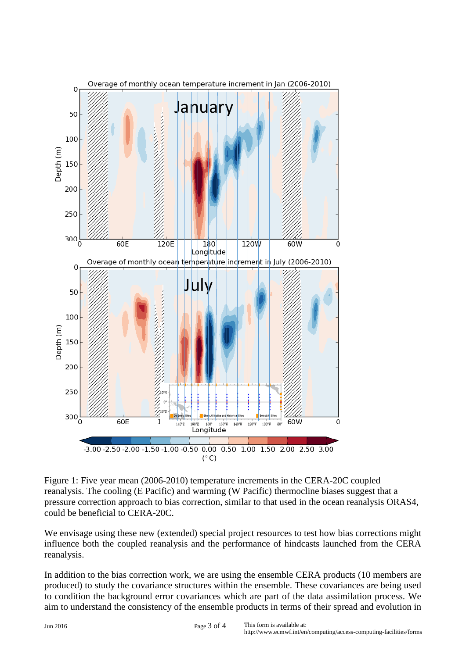

Figure 1: Five year mean (2006-2010) temperature increments in the CERA-20C coupled reanalysis. The cooling (E Pacific) and warming (W Pacific) thermocline biases suggest that a pressure correction approach to bias correction, similar to that used in the ocean reanalysis ORAS4, could be beneficial to CERA-20C.

We envisage using these new (extended) special project resources to test how bias corrections might influence both the coupled reanalysis and the performance of hindcasts launched from the CERA reanalysis.

In addition to the bias correction work, we are using the ensemble CERA products (10 members are produced) to study the covariance structures within the ensemble. These covariances are being used to condition the background error covariances which are part of the data assimilation process. We aim to understand the consistency of the ensemble products in terms of their spread and evolution in